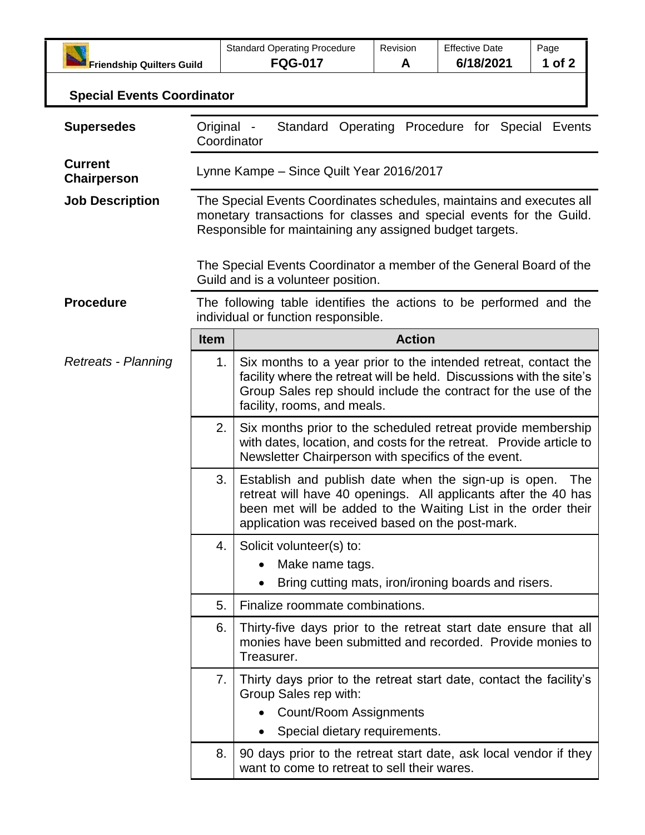| <b>Friendship Quilters Guild</b>     |                                                                                                                                                                                                         | <b>Standard Operating Procedure</b><br><b>FQG-017</b>                                                                                                                                                                                       | Revision<br>A | <b>Effective Date</b><br>6/18/2021 | Page<br>1 of 2 |  |
|--------------------------------------|---------------------------------------------------------------------------------------------------------------------------------------------------------------------------------------------------------|---------------------------------------------------------------------------------------------------------------------------------------------------------------------------------------------------------------------------------------------|---------------|------------------------------------|----------------|--|
| <b>Special Events Coordinator</b>    |                                                                                                                                                                                                         |                                                                                                                                                                                                                                             |               |                                    |                |  |
| <b>Supersedes</b>                    | Original -<br>Standard Operating Procedure for Special Events<br>Coordinator                                                                                                                            |                                                                                                                                                                                                                                             |               |                                    |                |  |
| <b>Current</b><br><b>Chairperson</b> | Lynne Kampe - Since Quilt Year 2016/2017                                                                                                                                                                |                                                                                                                                                                                                                                             |               |                                    |                |  |
| <b>Job Description</b>               | The Special Events Coordinates schedules, maintains and executes all<br>monetary transactions for classes and special events for the Guild.<br>Responsible for maintaining any assigned budget targets. |                                                                                                                                                                                                                                             |               |                                    |                |  |
|                                      | The Special Events Coordinator a member of the General Board of the<br>Guild and is a volunteer position.                                                                                               |                                                                                                                                                                                                                                             |               |                                    |                |  |
| <b>Procedure</b>                     | The following table identifies the actions to be performed and the<br>individual or function responsible.                                                                                               |                                                                                                                                                                                                                                             |               |                                    |                |  |
|                                      | <b>Item</b>                                                                                                                                                                                             |                                                                                                                                                                                                                                             | <b>Action</b> |                                    |                |  |
| <b>Retreats - Planning</b>           | 1.                                                                                                                                                                                                      | Six months to a year prior to the intended retreat, contact the<br>facility where the retreat will be held. Discussions with the site's<br>Group Sales rep should include the contract for the use of the<br>facility, rooms, and meals.    |               |                                    |                |  |
|                                      | 2.                                                                                                                                                                                                      | Six months prior to the scheduled retreat provide membership<br>with dates, location, and costs for the retreat. Provide article to<br>Newsletter Chairperson with specifics of the event.                                                  |               |                                    |                |  |
|                                      | 3.                                                                                                                                                                                                      | Establish and publish date when the sign-up is open.<br>retreat will have 40 openings. All applicants after the 40 has<br>been met will be added to the Waiting List in the order their<br>application was received based on the post-mark. |               |                                    | The            |  |
|                                      | 4.                                                                                                                                                                                                      | Solicit volunteer(s) to:<br>Make name tags.                                                                                                                                                                                                 |               |                                    |                |  |
|                                      | 5.                                                                                                                                                                                                      | Bring cutting mats, iron/ironing boards and risers.<br>Finalize roommate combinations.                                                                                                                                                      |               |                                    |                |  |
|                                      | 6.                                                                                                                                                                                                      | Thirty-five days prior to the retreat start date ensure that all<br>monies have been submitted and recorded. Provide monies to<br>Treasurer.                                                                                                |               |                                    |                |  |
|                                      | 7.                                                                                                                                                                                                      | Thirty days prior to the retreat start date, contact the facility's<br>Group Sales rep with:<br><b>Count/Room Assignments</b><br>Special dietary requirements.                                                                              |               |                                    |                |  |
|                                      | 8.                                                                                                                                                                                                      | 90 days prior to the retreat start date, ask local vendor if they<br>want to come to retreat to sell their wares.                                                                                                                           |               |                                    |                |  |